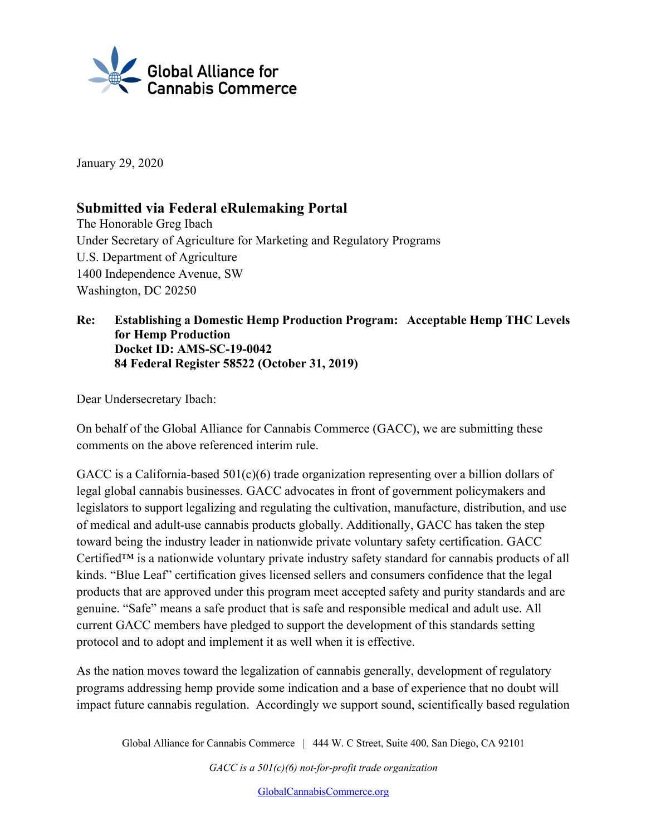

January 29, 2020

# **Submitted via Federal eRulemaking Portal**

The Honorable Greg Ibach Under Secretary of Agriculture for Marketing and Regulatory Programs U.S. Department of Agriculture 1400 Independence Avenue, SW Washington, DC 20250

#### **Re: Establishing a Domestic Hemp Production Program: Acceptable Hemp THC Levels for Hemp Production Docket ID: AMS-SC-19-0042 84 Federal Register 58522 (October 31, 2019)**

Dear Undersecretary Ibach:

On behalf of the Global Alliance for Cannabis Commerce (GACC), we are submitting these comments on the above referenced interim rule.

GACC is a California-based 501(c)(6) trade organization representing over a billion dollars of legal global cannabis businesses. GACC advocates in front of government policymakers and legislators to support legalizing and regulating the cultivation, manufacture, distribution, and use of medical and adult-use cannabis products globally. Additionally, GACC has taken the step toward being the industry leader in nationwide private voluntary safety certification. GACC Certified™ is a nationwide voluntary private industry safety standard for cannabis products of all kinds. "Blue Leaf" certification gives licensed sellers and consumers confidence that the legal products that are approved under this program meet accepted safety and purity standards and are genuine. "Safe" means a safe product that is safe and responsible medical and adult use. All current GACC members have pledged to support the development of this standards setting protocol and to adopt and implement it as well when it is effective.

As the nation moves toward the legalization of cannabis generally, development of regulatory programs addressing hemp provide some indication and a base of experience that no doubt will impact future cannabis regulation. Accordingly we support sound, scientifically based regulation

Global Alliance for Cannabis Commerce | 444 W. C Street, Suite 400, San Diego, CA 92101

*GACC is a 501(c)(6) not-for-profit trade organization*

GlobalCannabisCommerce.org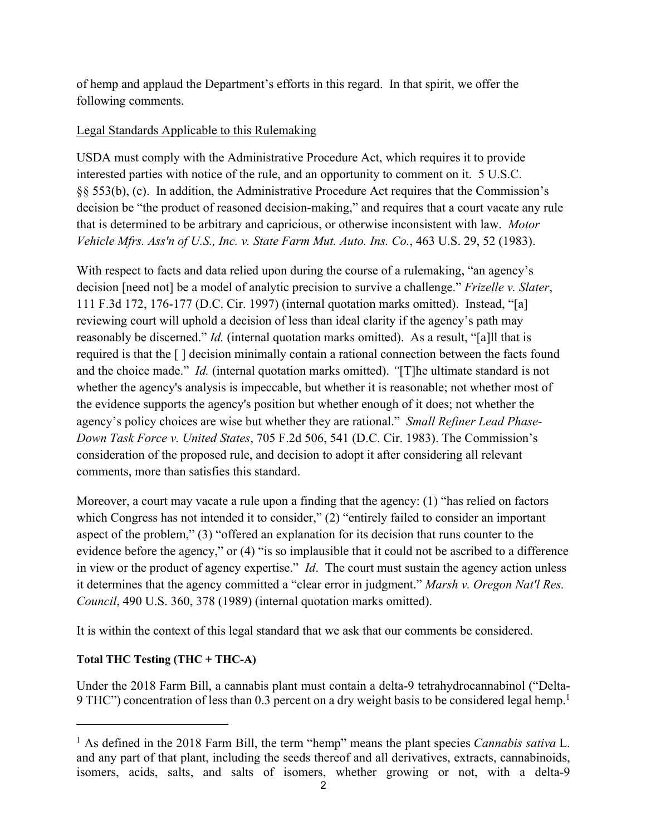of hemp and applaud the Department's efforts in this regard. In that spirit, we offer the following comments.

#### Legal Standards Applicable to this Rulemaking

USDA must comply with the Administrative Procedure Act, which requires it to provide interested parties with notice of the rule, and an opportunity to comment on it. 5 U.S.C. §§ 553(b), (c). In addition, the Administrative Procedure Act requires that the Commission's decision be "the product of reasoned decision-making," and requires that a court vacate any rule that is determined to be arbitrary and capricious, or otherwise inconsistent with law. *Motor Vehicle Mfrs. Ass'n of U.S., Inc. v. State Farm Mut. Auto. Ins. Co.*, 463 U.S. 29, 52 (1983).

With respect to facts and data relied upon during the course of a rulemaking, "an agency's decision [need not] be a model of analytic precision to survive a challenge." *Frizelle v. Slater*, 111 F.3d 172, 176-177 (D.C. Cir. 1997) (internal quotation marks omitted). Instead, "[a] reviewing court will uphold a decision of less than ideal clarity if the agency's path may reasonably be discerned." *Id.* (internal quotation marks omitted). As a result, "[a]ll that is required is that the [ ] decision minimally contain a rational connection between the facts found and the choice made." *Id.* (internal quotation marks omitted). *"*[T]he ultimate standard is not whether the agency's analysis is impeccable, but whether it is reasonable; not whether most of the evidence supports the agency's position but whether enough of it does; not whether the agency's policy choices are wise but whether they are rational." *Small Refiner Lead Phase-Down Task Force v. United States*, 705 F.2d 506, 541 (D.C. Cir. 1983). The Commission's consideration of the proposed rule, and decision to adopt it after considering all relevant comments, more than satisfies this standard.

Moreover, a court may vacate a rule upon a finding that the agency: (1) "has relied on factors which Congress has not intended it to consider," (2) "entirely failed to consider an important aspect of the problem," (3) "offered an explanation for its decision that runs counter to the evidence before the agency," or (4) "is so implausible that it could not be ascribed to a difference in view or the product of agency expertise." *Id*. The court must sustain the agency action unless it determines that the agency committed a "clear error in judgment." *Marsh v. Oregon Nat'l Res. Council*, 490 U.S. 360, 378 (1989) (internal quotation marks omitted).

It is within the context of this legal standard that we ask that our comments be considered.

#### **Total THC Testing (THC + THC-A)**

Under the 2018 Farm Bill, a cannabis plant must contain a delta-9 tetrahydrocannabinol ("Delta-9 THC") concentration of less than 0.3 percent on a dry weight basis to be considered legal hemp.<sup>1</sup>

<sup>1</sup> As defined in the 2018 Farm Bill, the term "hemp" means the plant species *Cannabis sativa* L. and any part of that plant, including the seeds thereof and all derivatives, extracts, cannabinoids, isomers, acids, salts, and salts of isomers, whether growing or not, with a delta-9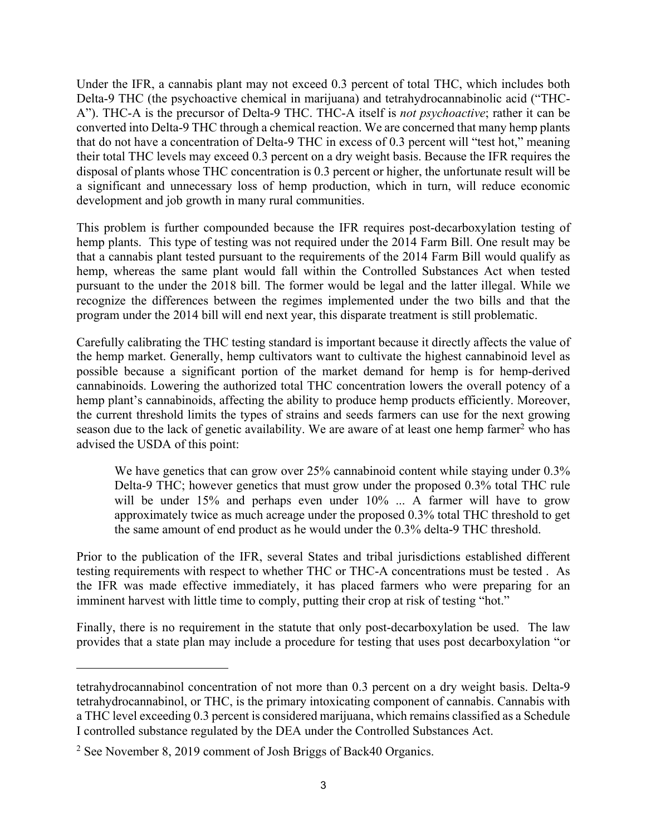Under the IFR, a cannabis plant may not exceed 0.3 percent of total THC, which includes both Delta-9 THC (the psychoactive chemical in marijuana) and tetrahydrocannabinolic acid ("THC-A"). THC-A is the precursor of Delta-9 THC. THC-A itself is *not psychoactive*; rather it can be converted into Delta-9 THC through a chemical reaction. We are concerned that many hemp plants that do not have a concentration of Delta-9 THC in excess of 0.3 percent will "test hot," meaning their total THC levels may exceed 0.3 percent on a dry weight basis. Because the IFR requires the disposal of plants whose THC concentration is 0.3 percent or higher, the unfortunate result will be a significant and unnecessary loss of hemp production, which in turn, will reduce economic development and job growth in many rural communities.

This problem is further compounded because the IFR requires post-decarboxylation testing of hemp plants. This type of testing was not required under the 2014 Farm Bill. One result may be that a cannabis plant tested pursuant to the requirements of the 2014 Farm Bill would qualify as hemp, whereas the same plant would fall within the Controlled Substances Act when tested pursuant to the under the 2018 bill. The former would be legal and the latter illegal. While we recognize the differences between the regimes implemented under the two bills and that the program under the 2014 bill will end next year, this disparate treatment is still problematic.

Carefully calibrating the THC testing standard is important because it directly affects the value of the hemp market. Generally, hemp cultivators want to cultivate the highest cannabinoid level as possible because a significant portion of the market demand for hemp is for hemp-derived cannabinoids. Lowering the authorized total THC concentration lowers the overall potency of a hemp plant's cannabinoids, affecting the ability to produce hemp products efficiently. Moreover, the current threshold limits the types of strains and seeds farmers can use for the next growing season due to the lack of genetic availability. We are aware of at least one hemp farmer<sup>2</sup> who has advised the USDA of this point:

We have genetics that can grow over 25% cannabinoid content while staying under 0.3% Delta-9 THC; however genetics that must grow under the proposed 0.3% total THC rule will be under 15% and perhaps even under 10% ... A farmer will have to grow approximately twice as much acreage under the proposed 0.3% total THC threshold to get the same amount of end product as he would under the 0.3% delta-9 THC threshold.

Prior to the publication of the IFR, several States and tribal jurisdictions established different testing requirements with respect to whether THC or THC-A concentrations must be tested . As the IFR was made effective immediately, it has placed farmers who were preparing for an imminent harvest with little time to comply, putting their crop at risk of testing "hot."

Finally, there is no requirement in the statute that only post-decarboxylation be used. The law provides that a state plan may include a procedure for testing that uses post decarboxylation "or

tetrahydrocannabinol concentration of not more than 0.3 percent on a dry weight basis. Delta-9 tetrahydrocannabinol, or THC, is the primary intoxicating component of cannabis. Cannabis with a THC level exceeding 0.3 percent is considered marijuana, which remains classified as a Schedule I controlled substance regulated by the DEA under the Controlled Substances Act.

<sup>&</sup>lt;sup>2</sup> See November 8, 2019 comment of Josh Briggs of Back40 Organics.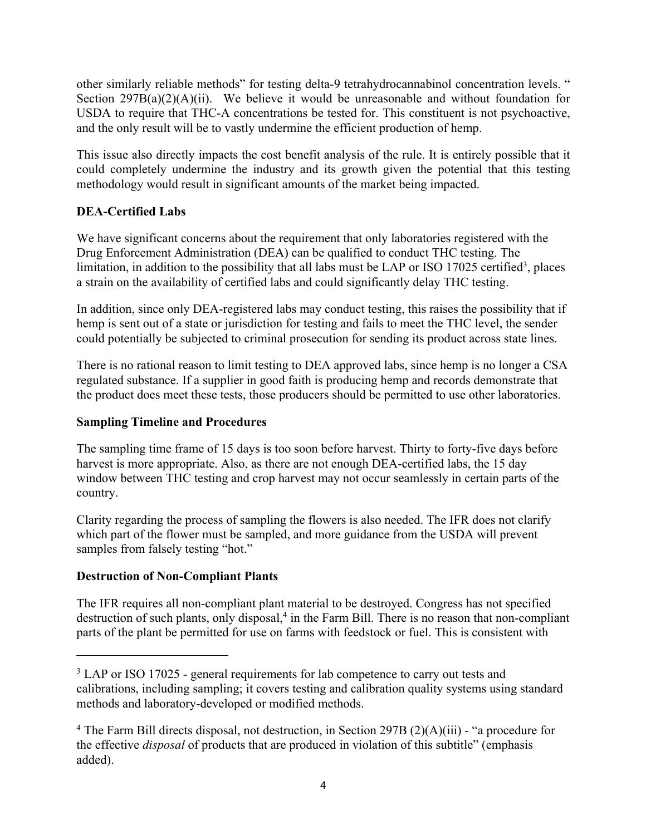other similarly reliable methods" for testing delta-9 tetrahydrocannabinol concentration levels. " Section  $297B(a)(2)(A)(ii)$ . We believe it would be unreasonable and without foundation for USDA to require that THC-A concentrations be tested for. This constituent is not psychoactive, and the only result will be to vastly undermine the efficient production of hemp.

This issue also directly impacts the cost benefit analysis of the rule. It is entirely possible that it could completely undermine the industry and its growth given the potential that this testing methodology would result in significant amounts of the market being impacted.

## **DEA-Certified Labs**

We have significant concerns about the requirement that only laboratories registered with the Drug Enforcement Administration (DEA) can be qualified to conduct THC testing. The limitation, in addition to the possibility that all labs must be LAP or ISO 17025 certified<sup>3</sup>, places a strain on the availability of certified labs and could significantly delay THC testing.

In addition, since only DEA-registered labs may conduct testing, this raises the possibility that if hemp is sent out of a state or jurisdiction for testing and fails to meet the THC level, the sender could potentially be subjected to criminal prosecution for sending its product across state lines.

There is no rational reason to limit testing to DEA approved labs, since hemp is no longer a CSA regulated substance. If a supplier in good faith is producing hemp and records demonstrate that the product does meet these tests, those producers should be permitted to use other laboratories.

## **Sampling Timeline and Procedures**

The sampling time frame of 15 days is too soon before harvest. Thirty to forty-five days before harvest is more appropriate. Also, as there are not enough DEA-certified labs, the 15 day window between THC testing and crop harvest may not occur seamlessly in certain parts of the country.

Clarity regarding the process of sampling the flowers is also needed. The IFR does not clarify which part of the flower must be sampled, and more guidance from the USDA will prevent samples from falsely testing "hot."

## **Destruction of Non-Compliant Plants**

The IFR requires all non-compliant plant material to be destroyed. Congress has not specified destruction of such plants, only disposal,<sup>4</sup> in the Farm Bill. There is no reason that non-compliant parts of the plant be permitted for use on farms with feedstock or fuel. This is consistent with

<sup>&</sup>lt;sup>3</sup> LAP or ISO 17025 - general requirements for lab competence to carry out tests and calibrations, including sampling; it covers testing and calibration quality systems using standard methods and laboratory-developed or modified methods.

<sup>&</sup>lt;sup>4</sup> The Farm Bill directs disposal, not destruction, in Section 297B (2)(A)(iii) - "a procedure for the effective *disposal* of products that are produced in violation of this subtitle" (emphasis added).